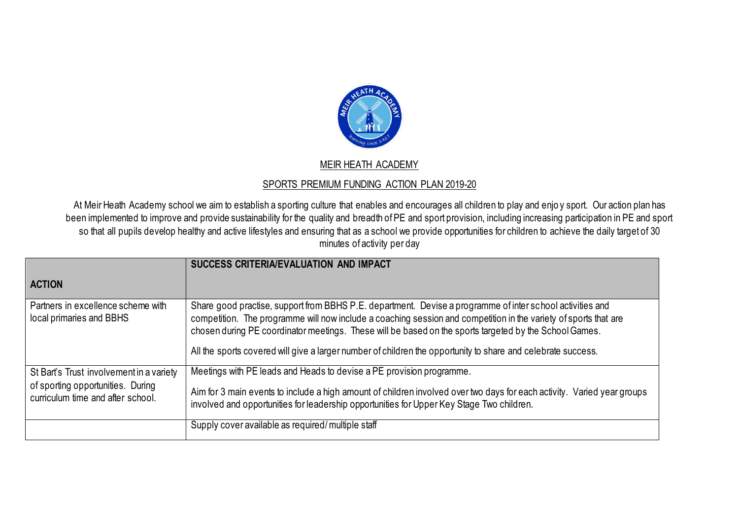

## MEIR HEATH ACADEMY

## SPORTS PREMIUM FUNDING ACTION PLAN 2019-20

At Meir Heath Academy school we aim to establish a sporting culture that enables and encourages all children to play and enjo y sport. Our action plan has been implemented to improve and provide sustainability for the quality and breadth of PE and sport provision, including increasing participation in PE and sport so that all pupils develop healthy and active lifestyles and ensuring that as a school we provide opportunities for children to achieve the daily target of 30 minutes of activity per day

|                                                                                                                    | SUCCESS CRITERIA/EVALUATION AND IMPACT                                                                                                                                                                                                                                                                                                                                                                                                                  |
|--------------------------------------------------------------------------------------------------------------------|---------------------------------------------------------------------------------------------------------------------------------------------------------------------------------------------------------------------------------------------------------------------------------------------------------------------------------------------------------------------------------------------------------------------------------------------------------|
| <b>ACTION</b>                                                                                                      |                                                                                                                                                                                                                                                                                                                                                                                                                                                         |
| Partners in excellence scheme with<br>local primaries and BBHS                                                     | Share good practise, support from BBHS P.E. department. Devise a programme of inter school activities and<br>competition. The programme will now include a coaching session and competition in the variety of sports that are<br>chosen during PE coordinator meetings. These will be based on the sports targeted by the School Games.<br>All the sports covered will give a larger number of children the opportunity to share and celebrate success. |
| St Bart's Trust involvement in a variety<br>of sporting opportunities. During<br>curriculum time and after school. | Meetings with PE leads and Heads to devise a PE provision programme.<br>Aim for 3 main events to include a high amount of children involved over two days for each activity. Varied year groups<br>involved and opportunities for leadership opportunities for Upper Key Stage Two children.                                                                                                                                                            |
|                                                                                                                    | Supply cover available as required/multiple staff                                                                                                                                                                                                                                                                                                                                                                                                       |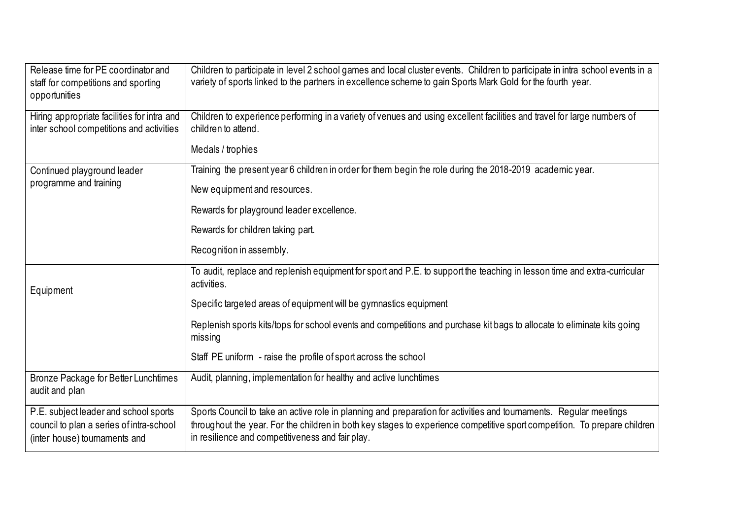| Release time for PE coordinator and<br>staff for competitions and sporting<br>opportunities                        | Children to participate in level 2 school games and local cluster events. Children to participate in intra school events in a<br>variety of sports linked to the partners in excellence scheme to gain Sports Mark Gold for the fourth year.                                                        |
|--------------------------------------------------------------------------------------------------------------------|-----------------------------------------------------------------------------------------------------------------------------------------------------------------------------------------------------------------------------------------------------------------------------------------------------|
| Hiring appropriate facilities for intra and<br>inter school competitions and activities                            | Children to experience performing in a variety of venues and using excellent facilities and travel for large numbers of<br>children to attend.                                                                                                                                                      |
|                                                                                                                    | Medals / trophies                                                                                                                                                                                                                                                                                   |
| Continued playground leader<br>programme and training                                                              | Training the present year 6 children in order for them begin the role during the 2018-2019 academic year.                                                                                                                                                                                           |
|                                                                                                                    | New equipment and resources.                                                                                                                                                                                                                                                                        |
|                                                                                                                    | Rewards for playground leader excellence.                                                                                                                                                                                                                                                           |
|                                                                                                                    | Rewards for children taking part.                                                                                                                                                                                                                                                                   |
|                                                                                                                    | Recognition in assembly.                                                                                                                                                                                                                                                                            |
| Equipment                                                                                                          | To audit, replace and replenish equipment for sport and P.E. to support the teaching in lesson time and extra-curricular<br>activities.                                                                                                                                                             |
|                                                                                                                    | Specific targeted areas of equipment will be gymnastics equipment                                                                                                                                                                                                                                   |
|                                                                                                                    | Replenish sports kits/tops for school events and competitions and purchase kit bags to allocate to eliminate kits going<br>missing                                                                                                                                                                  |
|                                                                                                                    | Staff PE uniform - raise the profile of sport across the school                                                                                                                                                                                                                                     |
| Bronze Package for Better Lunchtimes<br>audit and plan                                                             | Audit, planning, implementation for healthy and active lunchtimes                                                                                                                                                                                                                                   |
| P.E. subject leader and school sports<br>council to plan a series of intra-school<br>(inter house) tournaments and | Sports Council to take an active role in planning and preparation for activities and tournaments. Regular meetings<br>throughout the year. For the children in both key stages to experience competitive sport competition. To prepare children<br>in resilience and competitiveness and fair play. |